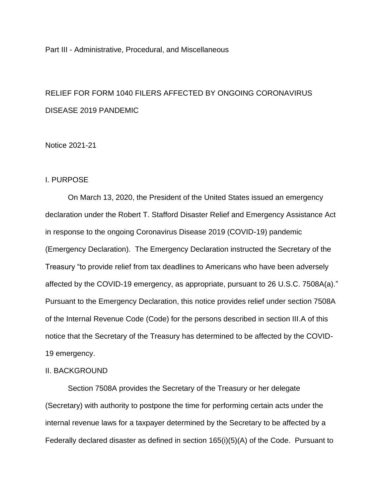Part III - Administrative, Procedural, and Miscellaneous

# RELIEF FOR FORM 1040 FILERS AFFECTED BY ONGOING CORONAVIRUS DISEASE 2019 PANDEMIC

## Notice 2021-21

## I. PURPOSE

On March 13, 2020, the President of the United States issued an emergency declaration under the Robert T. Stafford Disaster Relief and Emergency Assistance Act in response to the ongoing Coronavirus Disease 2019 (COVID-19) pandemic (Emergency Declaration). The Emergency Declaration instructed the Secretary of the Treasury "to provide relief from tax deadlines to Americans who have been adversely affected by the COVID-19 emergency, as appropriate, pursuant to 26 U.S.C. 7508A(a)." Pursuant to the Emergency Declaration, this notice provides relief under section 7508A of the Internal Revenue Code (Code) for the persons described in section III.A of this notice that the Secretary of the Treasury has determined to be affected by the COVID-19 emergency.

## II. BACKGROUND

Section 7508A provides the Secretary of the Treasury or her delegate (Secretary) with authority to postpone the time for performing certain acts under the internal revenue laws for a taxpayer determined by the Secretary to be affected by a Federally declared disaster as defined in section 165(i)(5)(A) of the Code. Pursuant to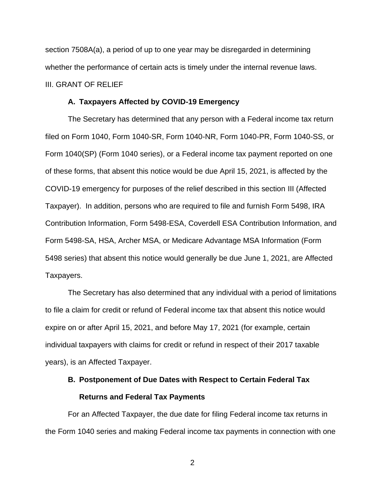section 7508A(a), a period of up to one year may be disregarded in determining whether the performance of certain acts is timely under the internal revenue laws. III. GRANT OF RELIEF

#### **A. Taxpayers Affected by COVID-19 Emergency**

The Secretary has determined that any person with a Federal income tax return filed on Form 1040, Form 1040-SR, Form 1040-NR, Form 1040-PR, Form 1040-SS, or Form 1040(SP) (Form 1040 series), or a Federal income tax payment reported on one of these forms, that absent this notice would be due April 15, 2021, is affected by the COVID-19 emergency for purposes of the relief described in this section III (Affected Taxpayer). In addition, persons who are required to file and furnish Form 5498, IRA Contribution Information, Form 5498-ESA, Coverdell ESA Contribution Information, and Form 5498-SA, HSA, Archer MSA, or Medicare Advantage MSA Information (Form 5498 series) that absent this notice would generally be due June 1, 2021, are Affected Taxpayers.

The Secretary has also determined that any individual with a period of limitations to file a claim for credit or refund of Federal income tax that absent this notice would expire on or after April 15, 2021, and before May 17, 2021 (for example, certain individual taxpayers with claims for credit or refund in respect of their 2017 taxable years), is an Affected Taxpayer.

# **B. Postponement of Due Dates with Respect to Certain Federal Tax Returns and Federal Tax Payments**

For an Affected Taxpayer, the due date for filing Federal income tax returns in the Form 1040 series and making Federal income tax payments in connection with one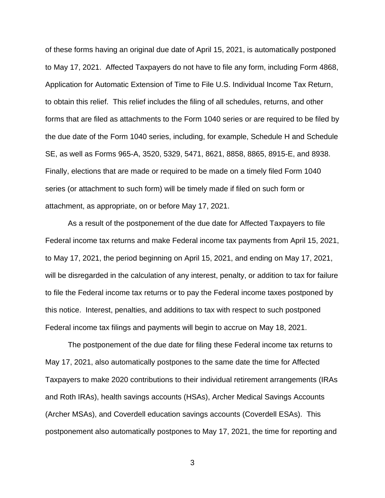of these forms having an original due date of April 15, 2021, is automatically postponed to May 17, 2021. Affected Taxpayers do not have to file any form, including Form 4868, Application for Automatic Extension of Time to File U.S. Individual Income Tax Return, to obtain this relief. This relief includes the filing of all schedules, returns, and other forms that are filed as attachments to the Form 1040 series or are required to be filed by the due date of the Form 1040 series, including, for example, Schedule H and Schedule SE, as well as Forms 965-A, 3520, 5329, 5471, 8621, 8858, 8865, 8915-E, and 8938. Finally, elections that are made or required to be made on a timely filed Form 1040 series (or attachment to such form) will be timely made if filed on such form or attachment, as appropriate, on or before May 17, 2021.

As a result of the postponement of the due date for Affected Taxpayers to file Federal income tax returns and make Federal income tax payments from April 15, 2021, to May 17, 2021, the period beginning on April 15, 2021, and ending on May 17, 2021, will be disregarded in the calculation of any interest, penalty, or addition to tax for failure to file the Federal income tax returns or to pay the Federal income taxes postponed by this notice. Interest, penalties, and additions to tax with respect to such postponed Federal income tax filings and payments will begin to accrue on May 18, 2021.

The postponement of the due date for filing these Federal income tax returns to May 17, 2021, also automatically postpones to the same date the time for Affected Taxpayers to make 2020 contributions to their individual retirement arrangements (IRAs and Roth IRAs), health savings accounts (HSAs), Archer Medical Savings Accounts (Archer MSAs), and Coverdell education savings accounts (Coverdell ESAs). This postponement also automatically postpones to May 17, 2021, the time for reporting and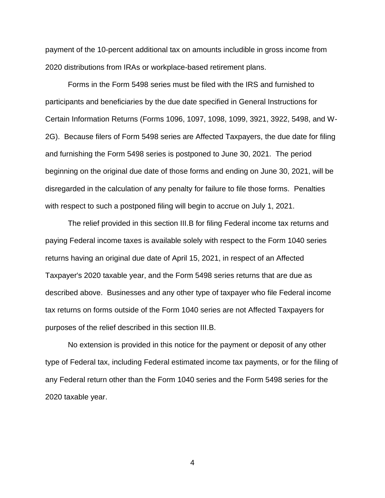payment of the 10-percent additional tax on amounts includible in gross income from 2020 distributions from IRAs or workplace-based retirement plans.

Forms in the Form 5498 series must be filed with the IRS and furnished to participants and beneficiaries by the due date specified in General Instructions for Certain Information Returns (Forms 1096, 1097, 1098, 1099, 3921, 3922, 5498, and W-2G). Because filers of Form 5498 series are Affected Taxpayers, the due date for filing and furnishing the Form 5498 series is postponed to June 30, 2021. The period beginning on the original due date of those forms and ending on June 30, 2021, will be disregarded in the calculation of any penalty for failure to file those forms. Penalties with respect to such a postponed filing will begin to accrue on July 1, 2021.

The relief provided in this section III.B for filing Federal income tax returns and paying Federal income taxes is available solely with respect to the Form 1040 series returns having an original due date of April 15, 2021, in respect of an Affected Taxpayer's 2020 taxable year, and the Form 5498 series returns that are due as described above. Businesses and any other type of taxpayer who file Federal income tax returns on forms outside of the Form 1040 series are not Affected Taxpayers for purposes of the relief described in this section III.B.

No extension is provided in this notice for the payment or deposit of any other type of Federal tax, including Federal estimated income tax payments, or for the filing of any Federal return other than the Form 1040 series and the Form 5498 series for the 2020 taxable year.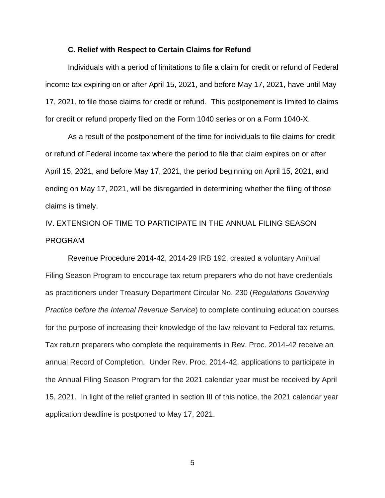#### **C. Relief with Respect to Certain Claims for Refund**

Individuals with a period of limitations to file a claim for credit or refund of Federal income tax expiring on or after April 15, 2021, and before May 17, 2021, have until May 17, 2021, to file those claims for credit or refund. This postponement is limited to claims for credit or refund properly filed on the Form 1040 series or on a Form 1040-X.

As a result of the postponement of the time for individuals to file claims for credit or refund of Federal income tax where the period to file that claim expires on or after April 15, 2021, and before May 17, 2021, the period beginning on April 15, 2021, and ending on May 17, 2021, will be disregarded in determining whether the filing of those claims is timely.

IV. EXTENSION OF TIME TO PARTICIPATE IN THE ANNUAL FILING SEASON PROGRAM

Revenue Procedure 2014-42, 2014-29 IRB 192, created a voluntary Annual Filing Season Program to encourage tax return preparers who do not have credentials as practitioners under Treasury Department Circular No. 230 (*Regulations Governing Practice before the Internal Revenue Service*) to complete continuing education courses for the purpose of increasing their knowledge of the law relevant to Federal tax returns. Tax return preparers who complete the requirements in Rev. Proc. 2014-42 receive an annual Record of Completion. Under Rev. Proc. 2014-42, applications to participate in the Annual Filing Season Program for the 2021 calendar year must be received by April 15, 2021. In light of the relief granted in section III of this notice, the 2021 calendar year application deadline is postponed to May 17, 2021.